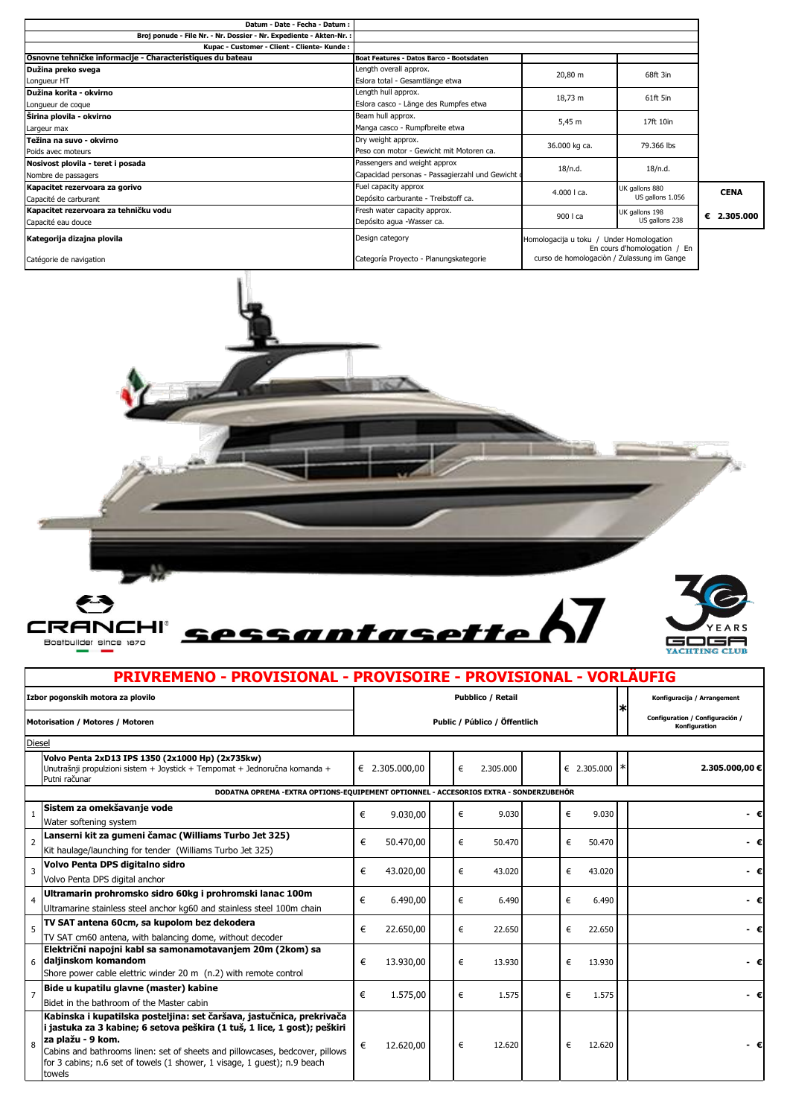| Datum - Date - Fecha - Datum :                                      |                                                  |                                                                          |                  |             |
|---------------------------------------------------------------------|--------------------------------------------------|--------------------------------------------------------------------------|------------------|-------------|
| Broj ponude - File Nr. - Nr. Dossier - Nr. Expediente - Akten-Nr. : |                                                  |                                                                          |                  |             |
| Kupac - Customer - Client - Cliente- Kunde :                        |                                                  |                                                                          |                  |             |
| Osnovne tehničke informacije - Characteristiques du bateau          | Boat Features - Datos Barco - Bootsdaten         |                                                                          |                  |             |
| Dužina preko svega                                                  | Length overall approx.                           | 20,80 m                                                                  | 68ft 3in         |             |
| Longueur HT                                                         | Eslora total - Gesamtlänge etwa                  |                                                                          |                  |             |
| Dužina korita - okvirno                                             | Length hull approx.                              | 18,73 m                                                                  | 61ft 5in         |             |
| Longueur de coque                                                   | Eslora casco - Länge des Rumpfes etwa            |                                                                          |                  |             |
| Širina plovila - okvirno                                            | Beam hull approx.                                | 5,45 m                                                                   | 17ft 10in        |             |
| Largeur max                                                         | Manga casco - Rumpfbreite etwa                   |                                                                          |                  |             |
| Težina na suvo - okvirno                                            | Dry weight approx.                               | 36.000 kg ca.                                                            | 79.366 lbs       |             |
| Poids avec moteurs                                                  | Peso con motor - Gewicht mit Motoren ca.         |                                                                          |                  |             |
| Nosivost plovila - teret i posada                                   | Passengers and weight approx                     | 18/n.d.                                                                  | 18/n.d.          |             |
| Nombre de passagers                                                 | Capacidad personas - Passagierzahl und Gewicht o |                                                                          |                  |             |
| Kapacitet rezervoara za gorivo                                      | Fuel capacity approx                             | $4.000$   ca.                                                            | UK gallons 880   | <b>CENA</b> |
| Capacité de carburant                                               | Depósito carburante - Treibstoff ca.             |                                                                          | US gallons 1.056 |             |
| Kapacitet rezervoara za tehničku vodu                               | Fresh water capacity approx.                     | 900   ca                                                                 | UK gallons 198   |             |
| Capacité eau douce                                                  | Depósito agua -Wasser ca.                        |                                                                          | US gallons 238   | € 2.305.000 |
| Kategorija dizajna plovila                                          | Design category                                  | Homologacija u toku / Under Homologation<br>En cours d'homologation / En |                  |             |
| Catégorie de navigation                                             | Categoría Proyecto - Planungskategorie           | curso de homologación / Zulassung im Gange                               |                  |             |



 $\Gamma$ 





T

## **PRIVREMENO - PROVISIONAL - PROVISOIRE - PROVISIONAL - VORLÄUFIG**

| Izbor pogonskih motora za plovilo<br>Motorisation / Motores / Motoren |                                                                                                                                                                                                                                                                                                                                              | <b>Pubblico / Retail</b><br>Public / Público / Öffentlich |                |  |   |           |  |   |                 |    | Konfiguracija / Arrangement                      |  |
|-----------------------------------------------------------------------|----------------------------------------------------------------------------------------------------------------------------------------------------------------------------------------------------------------------------------------------------------------------------------------------------------------------------------------------|-----------------------------------------------------------|----------------|--|---|-----------|--|---|-----------------|----|--------------------------------------------------|--|
|                                                                       |                                                                                                                                                                                                                                                                                                                                              |                                                           |                |  |   |           |  |   |                 | IЖ | Configuration / Configuración /<br>Konfiguration |  |
|                                                                       | <b>Diesel</b>                                                                                                                                                                                                                                                                                                                                |                                                           |                |  |   |           |  |   |                 |    |                                                  |  |
|                                                                       | Volvo Penta 2xD13 IPS 1350 (2x1000 Hp) (2x735kw)<br>Unutrašnji propulzioni sistem + Joystick + Tempomat + Jednoručna komanda +<br>Putni računar                                                                                                                                                                                              |                                                           | € 2.305.000,00 |  | € | 2.305.000 |  |   | € 2.305.000 $*$ |    | 2.305.000,00 €                                   |  |
|                                                                       | DODATNA OPREMA - EXTRA OPTIONS-EQUIPEMENT OPTIONNEL - ACCESORIOS EXTRA - SONDERZUBEHÖR                                                                                                                                                                                                                                                       |                                                           |                |  |   |           |  |   |                 |    |                                                  |  |
|                                                                       | Sistem za omekšavanje vode<br>Water softening system                                                                                                                                                                                                                                                                                         | €                                                         | 9.030,00       |  | € | 9.030     |  | € | 9.030           |    | - €                                              |  |
| $\overline{2}$                                                        | Lanserni kit za gumeni čamac (Williams Turbo Jet 325)<br>Kit haulage/launching for tender (Williams Turbo Jet 325)                                                                                                                                                                                                                           | €                                                         | 50.470,00      |  | € | 50.470    |  | € | 50.470          |    | - €                                              |  |
| 3                                                                     | Volvo Penta DPS digitalno sidro<br>Volvo Penta DPS digital anchor                                                                                                                                                                                                                                                                            | €                                                         | 43.020,00      |  | € | 43.020    |  | € | 43.020          |    | - €                                              |  |
| 4                                                                     | Ultramarin prohromsko sidro 60kg i prohromski lanac 100m<br>Ultramarine stainless steel anchor kg60 and stainless steel 100m chain                                                                                                                                                                                                           | €                                                         | 6.490,00       |  | € | 6.490     |  | € | 6.490           |    | - €                                              |  |
| 5                                                                     | TV SAT antena 60cm, sa kupolom bez dekodera<br>TV SAT cm60 antena, with balancing dome, without decoder                                                                                                                                                                                                                                      | €                                                         | 22.650,00      |  | € | 22.650    |  | € | 22.650          |    |                                                  |  |
|                                                                       | Električni napojni kabl sa samonamotavanjem 20m (2kom) sa<br>6 daljinskom komandom<br>Shore power cable elettric winder 20 m (n.2) with remote control                                                                                                                                                                                       | €                                                         | 13.930,00      |  | € | 13.930    |  | € | 13.930          |    |                                                  |  |
| $\overline{7}$                                                        | Bide u kupatilu glavne (master) kabine<br>Bidet in the bathroom of the Master cabin                                                                                                                                                                                                                                                          | €                                                         | 1.575,00       |  | € | 1.575     |  | € | 1.575           |    | - €                                              |  |
| 8                                                                     | Kabinska i kupatilska posteljina: set čaršava, jastučnica, prekrivača<br>i jastuka za 3 kabine; 6 setova peškira (1 tuš, 1 lice, 1 gost); peškiri<br>za plažu - 9 kom.<br>Cabins and bathrooms linen: set of sheets and pillowcases, bedcover, pillows<br>for 3 cabins; n.6 set of towels (1 shower, 1 visage, 1 quest); n.9 beach<br>towels | €                                                         | 12.620,00      |  | € | 12.620    |  | € | 12.620          |    |                                                  |  |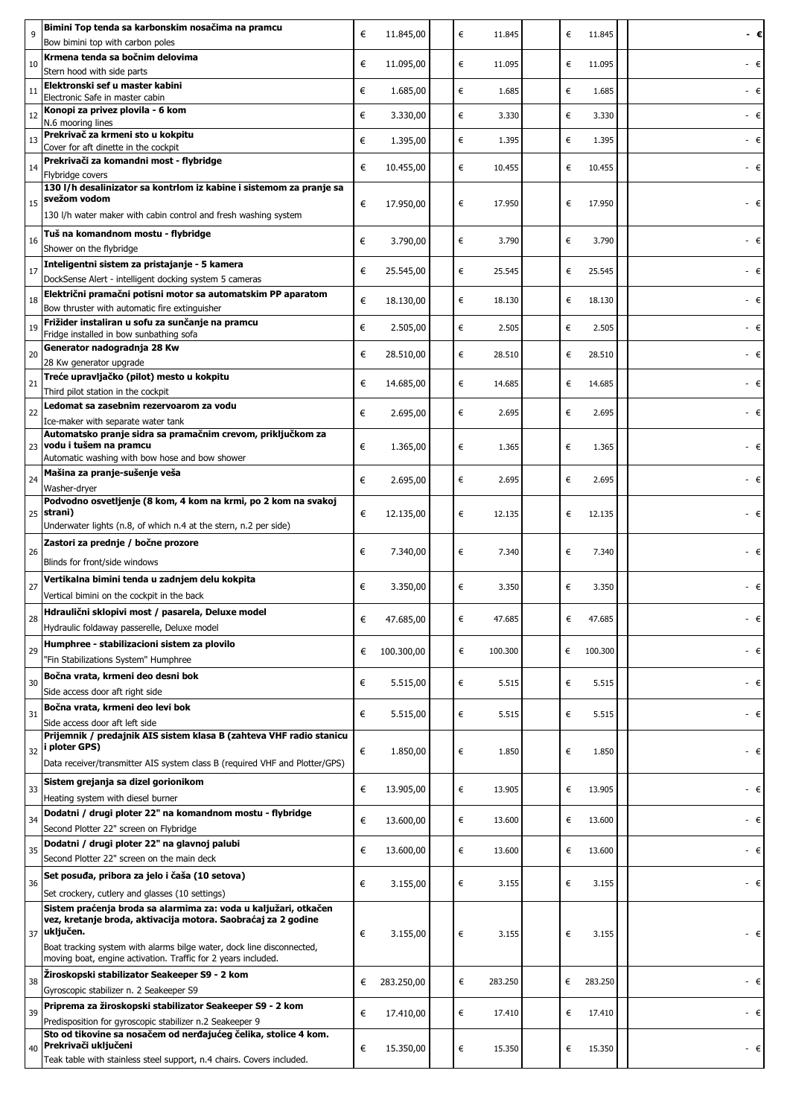| 9  | Bimini Top tenda sa karbonskim nosačima na pramcu                                                                                      | € | 11.845,00  | €<br>11.845  | € | 11.845  | - €l |
|----|----------------------------------------------------------------------------------------------------------------------------------------|---|------------|--------------|---|---------|------|
|    | Bow bimini top with carbon poles                                                                                                       |   |            |              |   |         |      |
| 10 | Krmena tenda sa bočnim delovima<br>Stern hood with side parts                                                                          | € | 11.095,00  | €<br>11.095  | € | 11.095  |      |
| 11 | Elektronski sef u master kabini                                                                                                        | € | 1.685,00   | €<br>1.685   | € | 1.685   | - €  |
|    | Electronic Safe in master cabin<br>Konopi za privez plovila - 6 kom                                                                    |   |            |              |   |         |      |
| 12 | N.6 mooring lines                                                                                                                      | € | 3.330,00   | €<br>3.330   | € | 3.330   | - €  |
| 13 | Prekrivač za krmeni sto u kokpitu<br>Cover for aft dinette in the cockpit                                                              | € | 1.395,00   | €<br>1.395   | € | 1.395   | - €  |
| 14 | Prekrivači za komandni most - flybridge                                                                                                |   |            | €<br>10.455  | € | 10.455  |      |
|    | Flybridge covers                                                                                                                       | € | 10.455,00  |              |   |         | - €  |
|    | 130 l/h desalinizator sa kontrlom iz kabine i sistemom za pranje sa<br>svežom vodom                                                    |   |            |              |   |         |      |
| 15 | 130 I/h water maker with cabin control and fresh washing system                                                                        | € | 17.950,00  | €<br>17.950  | € | 17.950  | - €  |
|    | Tuš na komandnom mostu - flybridge                                                                                                     |   |            |              |   |         |      |
| 16 | Shower on the flybridge                                                                                                                | € | 3.790,00   | €<br>3.790   | € | 3.790   | - €  |
| 17 | Inteligentni sistem za pristajanje - 5 kamera                                                                                          | € | 25.545,00  | €<br>25.545  | € | 25.545  | €    |
|    | DockSense Alert - intelligent docking system 5 cameras                                                                                 |   |            |              |   |         |      |
| 18 | Električni pramačni potisni motor sa automatskim PP aparatom<br>Bow thruster with automatic fire extinguisher                          | € | 18.130,00  | €<br>18.130  | € | 18.130  | - €  |
| 19 | Frižider instaliran u sofu za sunčanje na pramcu                                                                                       | € | 2.505,00   | €<br>2.505   | € | 2.505   | - €  |
|    | Fridge installed in bow sunbathing sofa<br>Generator nadogradnja 28 Kw                                                                 |   |            |              |   |         |      |
| 20 | 28 Kw generator upgrade                                                                                                                | € | 28.510,00  | €<br>28.510  | € | 28.510  | - €  |
| 21 | Treće upravljačko (pilot) mesto u kokpitu                                                                                              | € |            | €<br>14.685  | € | 14.685  | - €  |
|    | Third pilot station in the cockpit                                                                                                     |   | 14.685,00  |              |   |         |      |
| 22 | Ledomat sa zasebnim rezervoarom za vodu                                                                                                | € | 2.695,00   | €<br>2.695   | € | 2.695   | - €  |
|    | Ice-maker with separate water tank<br>Automatsko pranje sidra sa pramačnim crevom, priključkom za                                      |   |            |              |   |         |      |
|    | 23 vodu i tušem na pramcu                                                                                                              | € | 1.365,00   | €<br>1.365   | € | 1.365   | - €  |
|    | Automatic washing with bow hose and bow shower<br>Mašina za pranje-sušenje veša                                                        |   |            |              |   |         |      |
| 24 | Washer-dryer                                                                                                                           | € | 2.695,00   | €<br>2.695   | € | 2.695   | - €  |
|    | Podvodno osvetljenje (8 kom, 4 kom na krmi, po 2 kom na svakoj                                                                         |   |            |              |   |         |      |
|    | 25 strani)<br>Underwater lights (n.8, of which n.4 at the stern, n.2 per side)                                                         | € | 12.135,00  | €<br>12.135  | € | 12.135  |      |
|    | Zastori za prednje / bočne prozore                                                                                                     |   |            |              |   |         |      |
| 26 | Blinds for front/side windows                                                                                                          | € | 7.340,00   | €<br>7.340   | € | 7.340   | €    |
|    | Vertikalna bimini tenda u zadnjem delu kokpita                                                                                         |   |            |              |   |         |      |
| 27 | Vertical bimini on the cockpit in the back                                                                                             | € | 3.350,00   | €<br>3.350   | € | 3.350   | - €  |
|    | Hdraulični sklopivi most / pasarela, Deluxe model                                                                                      |   |            |              |   |         |      |
| 28 | Hydraulic foldaway passerelle, Deluxe model                                                                                            | € | 47.685,00  | €<br>47.685  | € | 47.685  | - €  |
| 29 | Humphree - stabilizacioni sistem za plovilo                                                                                            | € | 100.300,00 | €<br>100.300 | € | 100.300 | - €  |
|    | "Fin Stabilizations System" Humphree                                                                                                   |   |            |              |   |         |      |
| 30 | Bočna vrata, krmeni deo desni bok                                                                                                      | € | 5.515,00   | €<br>5.515   | € | 5.515   | - €  |
|    | Side access door aft right side                                                                                                        |   |            |              |   |         |      |
| 31 | Bočna vrata, krmeni deo levi bok<br>Side access door aft left side                                                                     | € | 5.515,00   | €<br>5.515   | € | 5.515   | - €  |
|    | Prijemnik / predajnik AIS sistem klasa B (zahteva VHF radio stanicu                                                                    |   |            |              |   |         |      |
| 32 | i ploter GPS)                                                                                                                          | € | 1.850,00   | €<br>1.850   | € | 1.850   | - €  |
|    | Data receiver/transmitter AIS system class B (required VHF and Plotter/GPS)                                                            |   |            |              |   |         |      |
| 33 | Sistem grejanja sa dizel gorionikom<br>Heating system with diesel burner                                                               | € | 13.905,00  | €<br>13.905  | € | 13.905  | - €  |
|    | Dodatni / drugi ploter 22" na komandnom mostu - flybridge                                                                              |   |            |              |   |         |      |
| 34 | Second Plotter 22" screen on Flybridge                                                                                                 | € | 13.600,00  | €<br>13.600  | € | 13.600  | - €  |
| 35 | Dodatni / drugi ploter 22" na glavnoj palubi                                                                                           | € | 13.600,00  | €<br>13.600  | € | 13.600  | - €  |
|    | Second Plotter 22" screen on the main deck                                                                                             |   |            |              |   |         |      |
| 36 | Set posuđa, pribora za jelo i čaša (10 setova)                                                                                         | € | 3.155,00   | €<br>3.155   | € | 3.155   | - €  |
|    | Set crockery, cutlery and glasses (10 settings)                                                                                        |   |            |              |   |         |      |
|    | Sistem praćenja broda sa alarmima za: voda u kaljužari, otkačen<br>vez, kretanje broda, aktivacija motora. Saobraćaj za 2 godine       |   |            |              |   |         |      |
|    | 37 uključen.                                                                                                                           | € | 3.155,00   | €<br>3.155   | € | 3.155   | - €  |
|    | Boat tracking system with alarms bilge water, dock line disconnected,<br>moving boat, engine activation. Traffic for 2 years included. |   |            |              |   |         |      |
|    | Žiroskopski stabilizator Seakeeper S9 - 2 kom                                                                                          |   |            |              |   |         |      |
| 38 | Gyroscopic stabilizer n. 2 Seakeeper S9                                                                                                | € | 283.250,00 | €<br>283.250 | € | 283.250 | - €  |
| 39 | Priprema za žiroskopski stabilizator Seakeeper S9 - 2 kom                                                                              | € | 17.410,00  | €<br>17.410  | € | 17.410  | - €  |
|    | Predisposition for gyroscopic stabilizer n.2 Seakeeper 9                                                                               |   |            |              |   |         |      |
|    | Sto od tikovine sa nosačem od nerđajućeg čelika, stolice 4 kom.<br>40 Prekrivači uključeni                                             | € | 15.350,00  | €<br>15.350  | € | 15.350  | - €  |
|    | Teak table with stainless steel support, n.4 chairs. Covers included.                                                                  |   |            |              |   |         |      |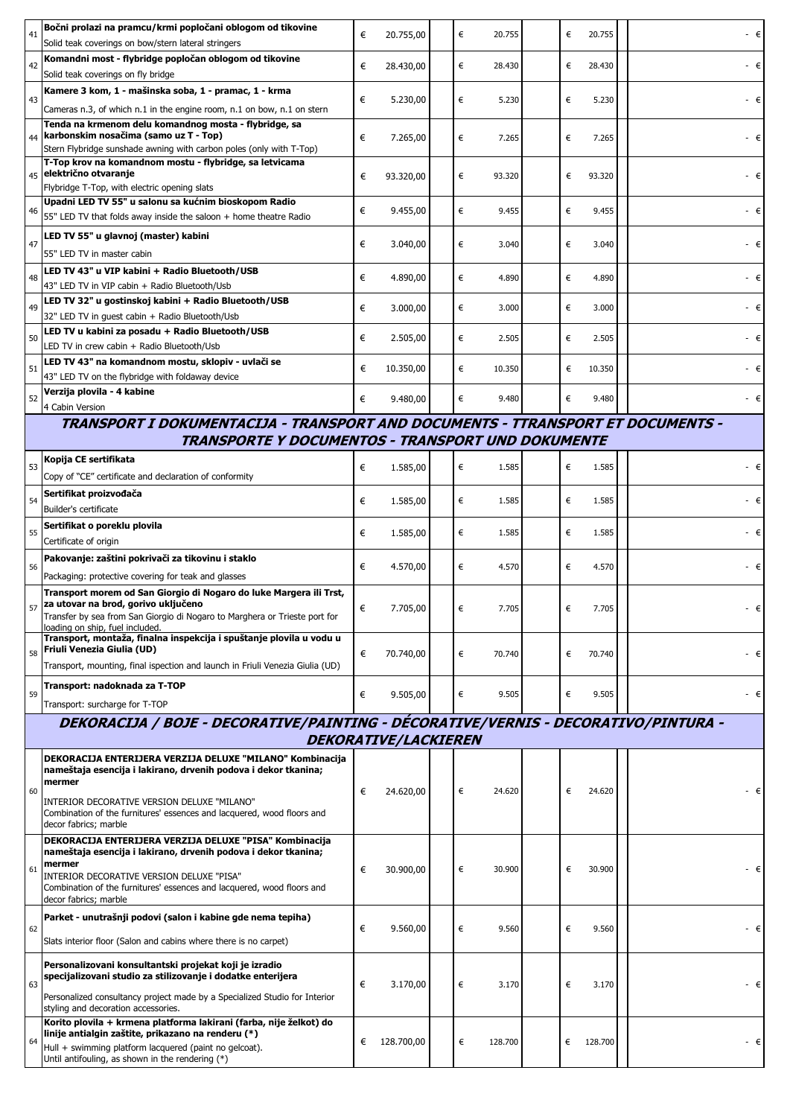| 41 | Bočni prolazi na pramcu/krmi popločani oblogom od tikovine                                                                      | € | 20.755,00                   |  | € | 20.755  | € | 20.755  | - €         |  |  |
|----|---------------------------------------------------------------------------------------------------------------------------------|---|-----------------------------|--|---|---------|---|---------|-------------|--|--|
| 42 | Solid teak coverings on bow/stern lateral stringers<br>Komandni most - flybridge popločan oblogom od tikovine                   | € |                             |  | € | 28.430  | € | 28.430  | - €         |  |  |
|    | Solid teak coverings on fly bridge                                                                                              |   | 28.430,00                   |  |   |         |   |         |             |  |  |
| 43 | Kamere 3 kom, 1 - mašinska soba, 1 - pramac, 1 - krma                                                                           | € | 5.230,00                    |  | € | 5.230   | € | 5.230   | - €         |  |  |
|    | Cameras n.3, of which n.1 in the engine room, n.1 on bow, n.1 on stern<br>Tenda na krmenom delu komandnog mosta - flybridge, sa |   |                             |  |   |         |   |         |             |  |  |
|    | 44 karbonskim nosačima (samo uz T - Top)<br>Stern Flybridge sunshade awning with carbon poles (only with T-Top)                 | € | 7.265,00                    |  | € | 7.265   | € | 7.265   | - €         |  |  |
|    | T-Top krov na komandnom mostu - flybridge, sa letvicama                                                                         |   |                             |  |   |         |   |         |             |  |  |
|    | 45 električno otvaranje<br>Flybridge T-Top, with electric opening slats                                                         | € | 93.320,00                   |  | € | 93.320  | € | 93.320  | - €         |  |  |
| 46 | Upadni LED TV 55" u salonu sa kućnim bioskopom Radio                                                                            | € |                             |  | € | 9.455   | € | 9.455   | - €         |  |  |
|    | 55" LED TV that folds away inside the saloon + home theatre Radio                                                               |   | 9.455,00                    |  |   |         |   |         |             |  |  |
| 47 | LED TV 55" u glavnoj (master) kabini                                                                                            | € | 3.040,00                    |  | € | 3.040   | € | 3.040   | - €         |  |  |
|    | 55" LED TV in master cabin<br>LED TV 43" u VIP kabini + Radio Bluetooth/USB                                                     |   |                             |  |   |         |   |         |             |  |  |
| 48 | 43" LED TV in VIP cabin + Radio Bluetooth/Usb                                                                                   | € | 4.890,00                    |  | € | 4.890   | € | 4.890   | - €         |  |  |
| 49 | LED TV 32" u gostinskoj kabini + Radio Bluetooth/USB                                                                            | € | 3.000,00                    |  | € | 3.000   | € | 3.000   | - €         |  |  |
|    | 32" LED TV in guest cabin + Radio Bluetooth/Usb<br>LED TV u kabini za posadu + Radio Bluetooth/USB                              |   |                             |  |   |         |   |         |             |  |  |
| 50 | LED TV in crew cabin + Radio Bluetooth/Usb                                                                                      | € | 2.505,00                    |  | € | 2.505   | € | 2.505   | - €         |  |  |
| 51 | LED TV 43" na komandnom mostu, sklopiv - uvlači se                                                                              | € | 10.350,00                   |  | € | 10.350  | € | 10.350  | - €         |  |  |
|    | 43" LED TV on the flybridge with foldaway device<br>Verzija plovila - 4 kabine                                                  |   |                             |  |   |         |   |         |             |  |  |
| 52 | 4 Cabin Version                                                                                                                 | € | 9.480,00                    |  | € | 9.480   | € | 9.480   | $ \epsilon$ |  |  |
|    | TRANSPORT I DOKUMENTACIJA - TRANSPORT AND DOCUMENTS - TTRANSPORT ET DOCUMENTS -                                                 |   |                             |  |   |         |   |         |             |  |  |
|    | <b>TRANSPORTE Y DOCUMENTOS - TRANSPORT UND DOKUMENTE</b>                                                                        |   |                             |  |   |         |   |         |             |  |  |
| 53 | Kopija CE sertifikata<br>Copy of "CE" certificate and declaration of conformity                                                 | € | 1.585,00                    |  | € | 1.585   | € | 1.585   | - €         |  |  |
|    | Sertifikat proizvođača                                                                                                          |   |                             |  |   |         | € |         | - €         |  |  |
| 54 | Builder's certificate                                                                                                           | € | 1.585,00                    |  | € | 1.585   |   | 1.585   |             |  |  |
| 55 | Sertifikat o poreklu plovila<br>Certificate of origin                                                                           | € | 1.585,00                    |  | € | 1.585   | € | 1.585   | - €         |  |  |
|    | Pakovanje: zaštini pokrivači za tikovinu i staklo                                                                               |   |                             |  |   |         |   |         |             |  |  |
| 56 | Packaging: protective covering for teak and glasses                                                                             | € | 4.570,00                    |  | € | 4.570   | € | 4.570   | - €         |  |  |
|    | Transport morem od San Giorgio di Nogaro do luke Margera ili Trst,<br>za utovar na brod, gorivo uključeno                       |   |                             |  |   |         |   |         |             |  |  |
| 57 | Transfer by sea from San Giorgio di Nogaro to Marghera or Trieste port for                                                      | € | 7.705,00                    |  | € | 7.705   | € | 7.705   | - €         |  |  |
|    | loading on ship, fuel included.<br>Transport, montaža, finalna inspekcija i spuštanje plovila u vodu u                          |   |                             |  |   |         |   |         |             |  |  |
| 58 | Friuli Venezia Giulia (UD)<br>Transport, mounting, final ispection and launch in Friuli Venezia Giulia (UD)                     | € | 70.740,00                   |  | € | 70.740  | € | 70.740  | - €         |  |  |
|    | Transport: nadoknada za T-TOP                                                                                                   |   |                             |  |   |         |   |         |             |  |  |
| 59 | Transport: surcharge for T-TOP                                                                                                  | € | 9.505,00                    |  | € | 9.505   | € | 9.505   | - €         |  |  |
|    | DEKORACIJA / BOJE - DECORATIVE/PAINTING - DÉCORATIVE/VERNIS - DECORATIVO/PINTURA -                                              |   |                             |  |   |         |   |         |             |  |  |
|    |                                                                                                                                 |   | <b>DEKORATIVE/LACKIEREN</b> |  |   |         |   |         |             |  |  |
|    | DEKORACIJA ENTERIJERA VERZIJA DELUXE "MILANO" Kombinacija<br>nameštaja esencija i lakirano, drvenih podova i dekor tkanina;     |   |                             |  |   |         |   |         |             |  |  |
| 60 | mermer                                                                                                                          | € | 24.620,00                   |  | € | 24.620  | € | 24.620  | - €         |  |  |
|    | INTERIOR DECORATIVE VERSION DELUXE "MILANO"<br>Combination of the furnitures' essences and lacquered, wood floors and           |   |                             |  |   |         |   |         |             |  |  |
|    | decor fabrics; marble                                                                                                           |   |                             |  |   |         |   |         |             |  |  |
|    | DEKORACIJA ENTERIJERA VERZIJA DELUXE "PISA" Kombinacija<br>nameštaja esencija i lakirano, drvenih podova i dekor tkanina;       |   |                             |  |   |         |   |         |             |  |  |
| 61 | mermer<br>INTERIOR DECORATIVE VERSION DELUXE "PISA"                                                                             | € | 30.900,00                   |  | € | 30.900  | € | 30.900  | - €         |  |  |
|    | Combination of the furnitures' essences and lacquered, wood floors and<br>decor fabrics; marble                                 |   |                             |  |   |         |   |         |             |  |  |
|    | Parket - unutrašnji podovi (salon i kabine gde nema tepiha)                                                                     |   |                             |  |   |         |   |         |             |  |  |
| 62 | Slats interior floor (Salon and cabins where there is no carpet)                                                                | € | 9.560,00                    |  | € | 9.560   | € | 9.560   | $ \in$      |  |  |
|    |                                                                                                                                 |   |                             |  |   |         |   |         |             |  |  |
| 63 | Personalizovani konsultantski projekat koji je izradio<br>specijalizovani studio za stilizovanje i dodatke enterijera           | € |                             |  | € |         | € | 3.170   |             |  |  |
|    | Personalized consultancy project made by a Specialized Studio for Interior                                                      |   | 3.170,00                    |  |   | 3.170   |   |         | - €         |  |  |
|    | styling and decoration accessories.<br>Korito plovila + krmena platforma lakirani (farba, nije želkot) do                       |   |                             |  |   |         |   |         |             |  |  |
| 64 | linije antialgin zaštite, prikazano na renderu (*)                                                                              | € | 128.700,00                  |  | € | 128.700 | € | 128.700 | - €         |  |  |
|    | Hull + swimming platform lacquered (paint no gelcoat).                                                                          |   |                             |  |   |         |   |         |             |  |  |